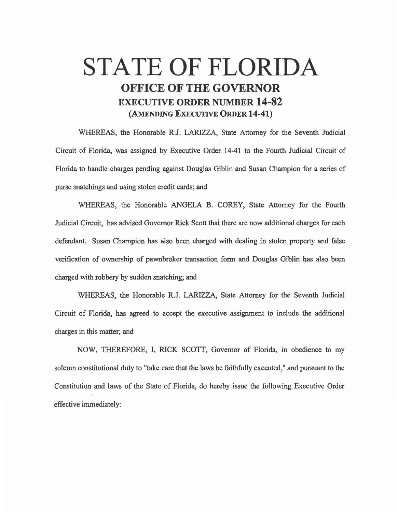## STATE OF FLORIDA OFFICE OF THE GOVERNOR EXECUTIVE ORDER NUMBER 14-82 (AMENDING EXECUTIVE ORDER 14-41)

WHEREAS, the Honorable R.J. LARIZZA, State Attorney for the Seventh Judicial Circuit of Florida, was assigned by Executive Order 14-41 to the Fourth Judicial Circuit of Florida to handle charges pending against Douglas Giblin and Susan Champion for a series of purse snatchings and using stolen credit cards; and

WHEREAS, the Honorable ANGELA B. COREY, State Attorney for the Fourth Judicial Circuit, has advised Governor Rick Scott that there are now additional charges for each defendant. Susan Champion has also been charged with dealing in stolen property and false verification of ownership of pawnbroker transaction form and Douglas Giblin has also been charged with robbery by sudden snatching; and

WHEREAS, the Honorable R.J. LARIZZA, State Attorney for the Seventh Judicial Circuit of Florida, has agreed to accept the executive assignment to include the additional charges in this matter; and

NOW, THEREFORE, I, RICK SCOTT, Governor of Florida, in obedience to my solemn constitutional duty to "take care that the laws be faithfully executed," and pursuant to the Constitution and laws of the State of Florida, do hereby issue the following Executive Order effective immediately: